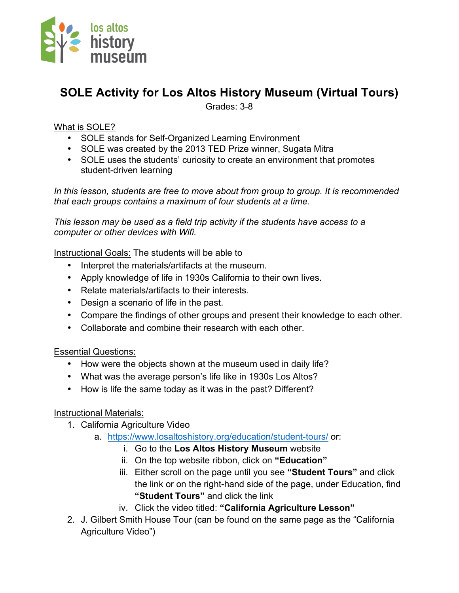

# **SOLE Activity for Los Altos History Museum (Virtual Tours)**

Grades: 3-8

### What is SOLE?

- SOLE stands for Self-Organized Learning Environment
- SOLE was created by the 2013 TED Prize winner, Sugata Mitra
- SOLE uses the students' curiosity to create an environment that promotes student-driven learning

*In this lesson, students are free to move about from group to group. It is recommended that each groups contains a maximum of four students at a time.*

*This lesson may be used as a field trip activity if the students have access to a computer or other devices with Wifi.*

Instructional Goals: The students will be able to

- Interpret the materials/artifacts at the museum.
- Apply knowledge of life in 1930s California to their own lives.
- Relate materials/artifacts to their interests.
- Design a scenario of life in the past.
- Compare the findings of other groups and present their knowledge to each other.
- Collaborate and combine their research with each other.

#### Essential Questions:

- How were the objects shown at the museum used in daily life?
- What was the average person's life like in 1930s Los Altos?
- How is life the same today as it was in the past? Different?

#### Instructional Materials:

- 1. California Agriculture Video
	- a. https://www.losaltoshistory.org/education/student-tours/ or:
		- i. Go to the **Los Altos History Museum** website
		- ii. On the top website ribbon, click on **"Education"**
		- iii. Either scroll on the page until you see **"Student Tours"** and click the link or on the right-hand side of the page, under Education, find **"Student Tours"** and click the link
		- iv. Click the video titled: **"California Agriculture Lesson"**
- 2. J. Gilbert Smith House Tour (can be found on the same page as the "California Agriculture Video")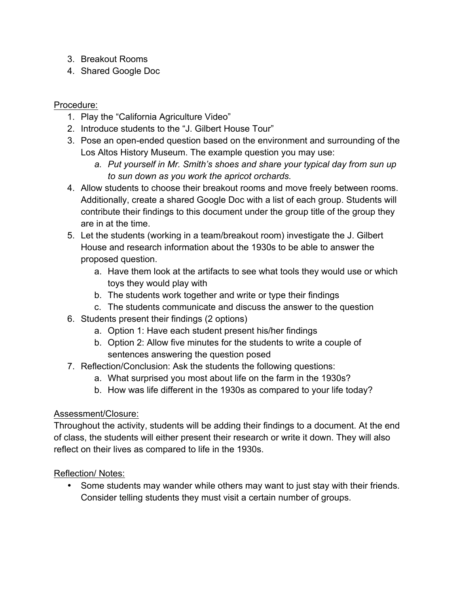- 3. Breakout Rooms
- 4. Shared Google Doc

#### Procedure:

- 1. Play the "California Agriculture Video"
- 2. Introduce students to the "J. Gilbert House Tour"
- 3. Pose an open-ended question based on the environment and surrounding of the Los Altos History Museum. The example question you may use:
	- *a. Put yourself in Mr. Smith's shoes and share your typical day from sun up to sun down as you work the apricot orchards.*
- 4. Allow students to choose their breakout rooms and move freely between rooms. Additionally, create a shared Google Doc with a list of each group. Students will contribute their findings to this document under the group title of the group they are in at the time.
- 5. Let the students (working in a team/breakout room) investigate the J. Gilbert House and research information about the 1930s to be able to answer the proposed question.
	- a. Have them look at the artifacts to see what tools they would use or which toys they would play with
	- b. The students work together and write or type their findings
	- c. The students communicate and discuss the answer to the question
- 6. Students present their findings (2 options)
	- a. Option 1: Have each student present his/her findings
	- b. Option 2: Allow five minutes for the students to write a couple of sentences answering the question posed
- 7. Reflection/Conclusion: Ask the students the following questions:
	- a. What surprised you most about life on the farm in the 1930s?
	- b. How was life different in the 1930s as compared to your life today?

#### Assessment/Closure:

Throughout the activity, students will be adding their findings to a document. At the end of class, the students will either present their research or write it down. They will also reflect on their lives as compared to life in the 1930s.

## Reflection/ Notes:

• Some students may wander while others may want to just stay with their friends. Consider telling students they must visit a certain number of groups.